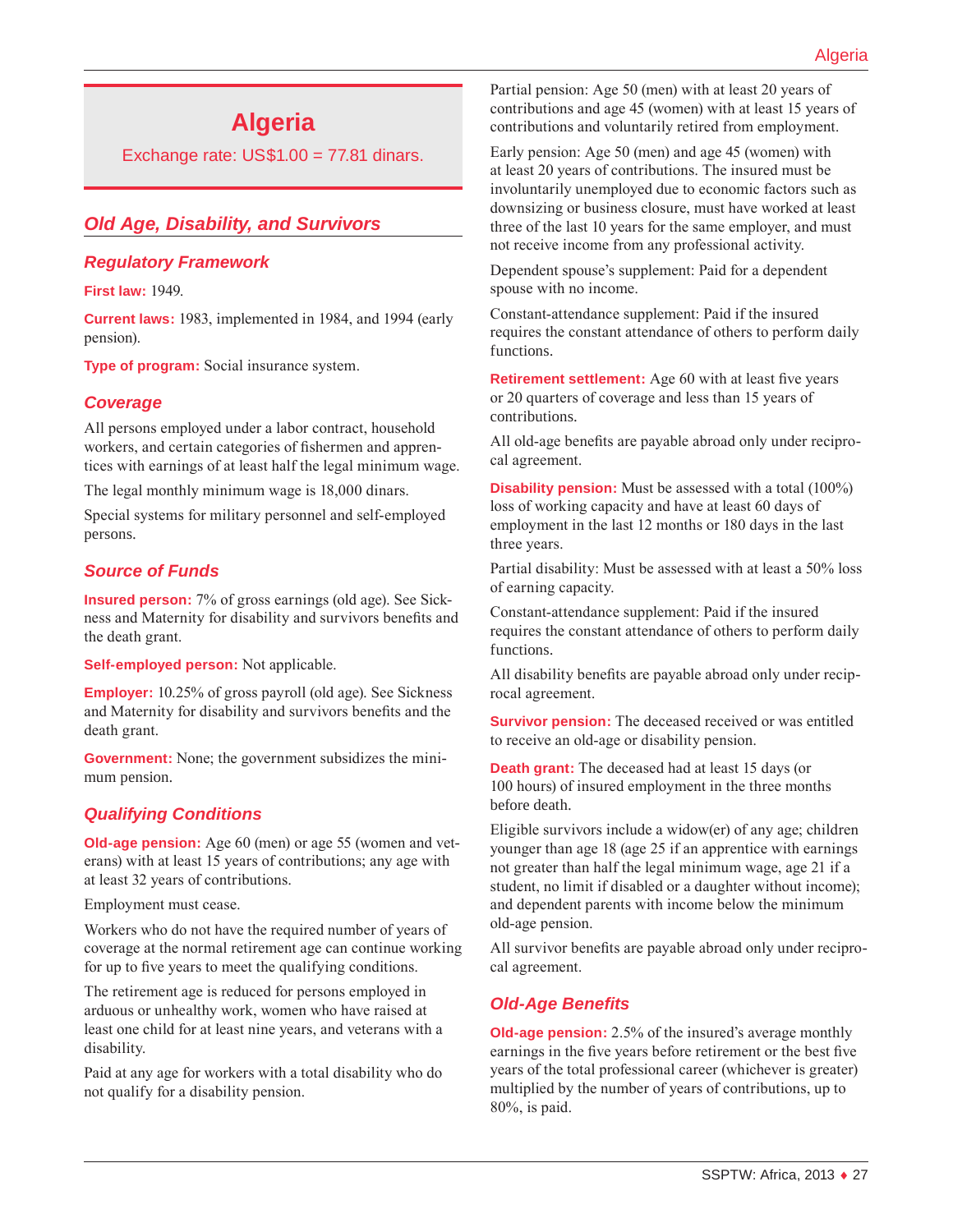# **Algeria**

Exchange rate:  $US$1.00 = 77.81$  dinars.

## *Old Age, Disability, and Survivors*

#### *Regulatory Framework*

**First law:** 1949.

**Current laws:** 1983, implemented in 1984, and 1994 (early pension).

**Type of program:** Social insurance system.

#### *Coverage*

All persons employed under a labor contract, household workers, and certain categories of fishermen and apprentices with earnings of at least half the legal minimum wage.

The legal monthly minimum wage is 18,000 dinars.

Special systems for military personnel and self-employed persons.

### *Source of Funds*

**Insured person:** 7% of gross earnings (old age). See Sickness and Maternity for disability and survivors benefits and the death grant.

**Self-employed person:** Not applicable.

**Employer:** 10.25% of gross payroll (old age). See Sickness and Maternity for disability and survivors benefits and the death grant.

**Government:** None; the government subsidizes the minimum pension.

### *Qualifying Conditions*

**Old-age pension:** Age 60 (men) or age 55 (women and veterans) with at least 15 years of contributions; any age with at least 32 years of contributions.

Employment must cease.

Workers who do not have the required number of years of coverage at the normal retirement age can continue working for up to five years to meet the qualifying conditions.

The retirement age is reduced for persons employed in arduous or unhealthy work, women who have raised at least one child for at least nine years, and veterans with a disability.

Paid at any age for workers with a total disability who do not qualify for a disability pension.

Partial pension: Age 50 (men) with at least 20 years of contributions and age 45 (women) with at least 15 years of contributions and voluntarily retired from employment.

Early pension: Age 50 (men) and age 45 (women) with at least 20 years of contributions. The insured must be involuntarily unemployed due to economic factors such as downsizing or business closure, must have worked at least three of the last 10 years for the same employer, and must not receive income from any professional activity.

Dependent spouse's supplement: Paid for a dependent spouse with no income.

Constant-attendance supplement: Paid if the insured requires the constant attendance of others to perform daily functions.

**Retirement settlement:** Age 60 with at least five years or 20 quarters of coverage and less than 15 years of contributions.

All old-age benefits are payable abroad only under reciprocal agreement.

**Disability pension:** Must be assessed with a total (100%) loss of working capacity and have at least 60 days of employment in the last 12 months or 180 days in the last three years.

Partial disability: Must be assessed with at least a 50% loss of earning capacity.

Constant-attendance supplement: Paid if the insured requires the constant attendance of others to perform daily functions.

All disability benefits are payable abroad only under reciprocal agreement.

**Survivor pension:** The deceased received or was entitled to receive an old-age or disability pension.

**Death grant:** The deceased had at least 15 days (or 100 hours) of insured employment in the three months before death.

Eligible survivors include a widow(er) of any age; children younger than age 18 (age 25 if an apprentice with earnings not greater than half the legal minimum wage, age 21 if a student, no limit if disabled or a daughter without income); and dependent parents with income below the minimum old-age pension.

All survivor benefits are payable abroad only under reciprocal agreement.

### *Old-Age Benefits*

**Old-age pension:** 2.5% of the insured's average monthly earnings in the five years before retirement or the best five years of the total professional career (whichever is greater) multiplied by the number of years of contributions, up to 80%, is paid.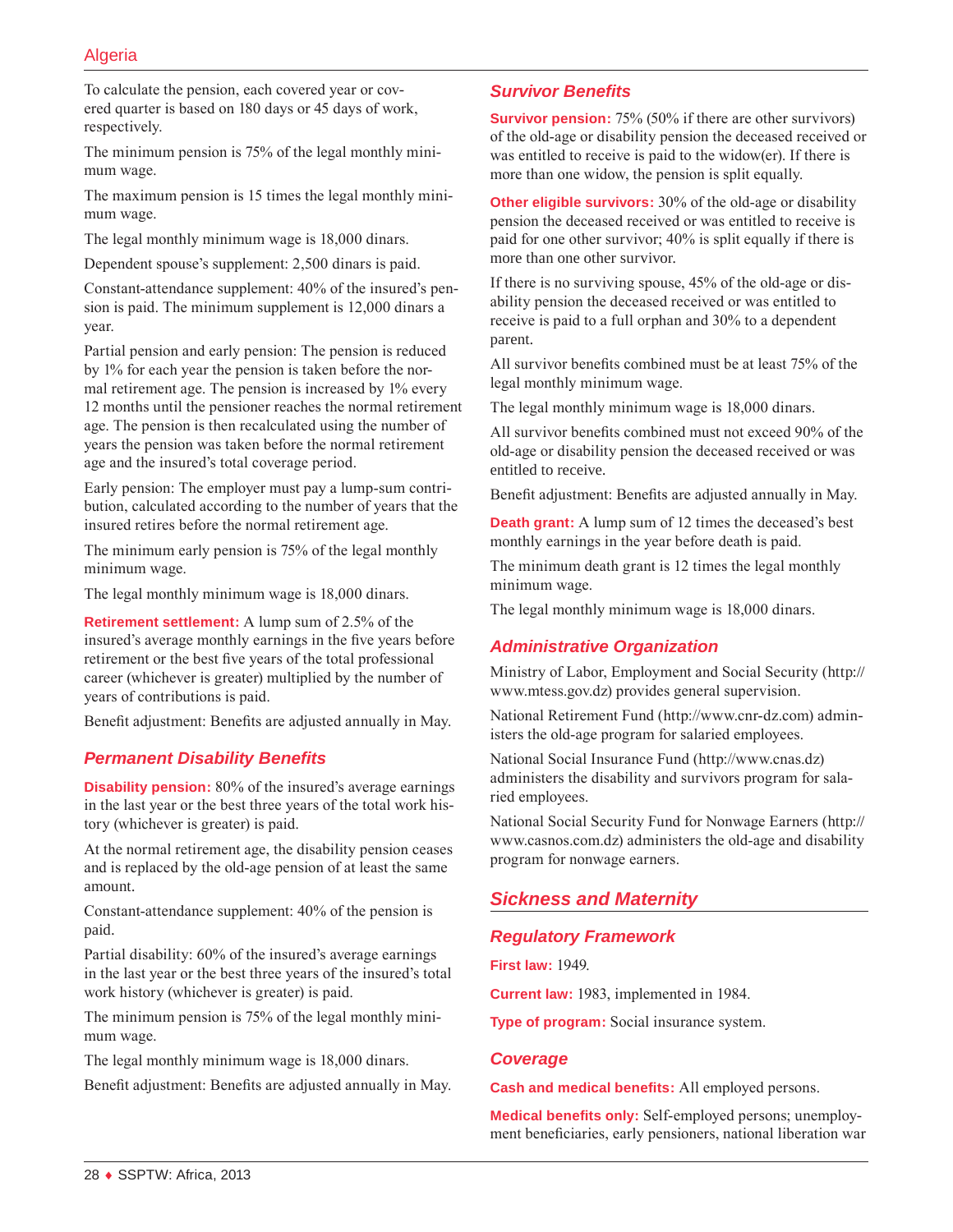### Algeria

To calculate the pension, each covered year or covered quarter is based on 180 days or 45 days of work, respectively.

The minimum pension is 75% of the legal monthly minimum wage.

The maximum pension is 15 times the legal monthly minimum wage.

The legal monthly minimum wage is 18,000 dinars.

Dependent spouse's supplement: 2,500 dinars is paid.

Constant-attendance supplement: 40% of the insured's pension is paid. The minimum supplement is 12,000 dinars a year.

Partial pension and early pension: The pension is reduced by 1% for each year the pension is taken before the normal retirement age. The pension is increased by 1% every 12 months until the pensioner reaches the normal retirement age. The pension is then recalculated using the number of years the pension was taken before the normal retirement age and the insured's total coverage period.

Early pension: The employer must pay a lump-sum contribution, calculated according to the number of years that the insured retires before the normal retirement age.

The minimum early pension is 75% of the legal monthly minimum wage.

The legal monthly minimum wage is 18,000 dinars.

**Retirement settlement:** A lump sum of 2.5% of the insured's average monthly earnings in the five years before retirement or the best five years of the total professional career (whichever is greater) multiplied by the number of years of contributions is paid.

Benefit adjustment: Benefits are adjusted annually in May.

#### *Permanent Disability Benefits*

**Disability pension:** 80% of the insured's average earnings in the last year or the best three years of the total work history (whichever is greater) is paid.

At the normal retirement age, the disability pension ceases and is replaced by the old-age pension of at least the same amount.

Constant-attendance supplement: 40% of the pension is paid.

Partial disability: 60% of the insured's average earnings in the last year or the best three years of the insured's total work history (whichever is greater) is paid.

The minimum pension is 75% of the legal monthly minimum wage.

The legal monthly minimum wage is 18,000 dinars.

Benefit adjustment: Benefits are adjusted annually in May.

#### *Survivor Benefits*

**Survivor pension:** 75% (50% if there are other survivors) of the old-age or disability pension the deceased received or was entitled to receive is paid to the widow(er). If there is more than one widow, the pension is split equally.

**Other eligible survivors:** 30% of the old-age or disability pension the deceased received or was entitled to receive is paid for one other survivor; 40% is split equally if there is more than one other survivor.

If there is no surviving spouse, 45% of the old-age or disability pension the deceased received or was entitled to receive is paid to a full orphan and 30% to a dependent parent.

All survivor benefits combined must be at least 75% of the legal monthly minimum wage.

The legal monthly minimum wage is 18,000 dinars.

All survivor benefits combined must not exceed 90% of the old-age or disability pension the deceased received or was entitled to receive.

Benefit adjustment: Benefits are adjusted annually in May.

**Death grant:** A lump sum of 12 times the deceased's best monthly earnings in the year before death is paid.

The minimum death grant is 12 times the legal monthly minimum wage.

The legal monthly minimum wage is 18,000 dinars.

#### *Administrative Organization*

Ministry of Labor, Employment and Social Security ([http://](http://www.mtess.gov.dz) [www.mtess.gov.dz](http://www.mtess.gov.dz)) provides general supervision.

National Retirement Fund [\(http://www.cnr-dz.com\)](http://www.cnr-dz.com) administers the old-age program for salaried employees.

National Social Insurance Fund (<http://www.cnas.dz>) administers the disability and survivors program for salaried employees.

National Social Security Fund for Nonwage Earners ([http://](http://www.casnos.com.dz) [www.casnos.com.dz](http://www.casnos.com.dz)) administers the old-age and disability program for nonwage earners.

#### *Sickness and Maternity*

#### *Regulatory Framework*

**First law:** 1949.

**Current law:** 1983, implemented in 1984.

**Type of program:** Social insurance system.

#### *Coverage*

**Cash and medical benefits:** All employed persons.

**Medical benefits only:** Self-employed persons; unemployment beneficiaries, early pensioners, national liberation war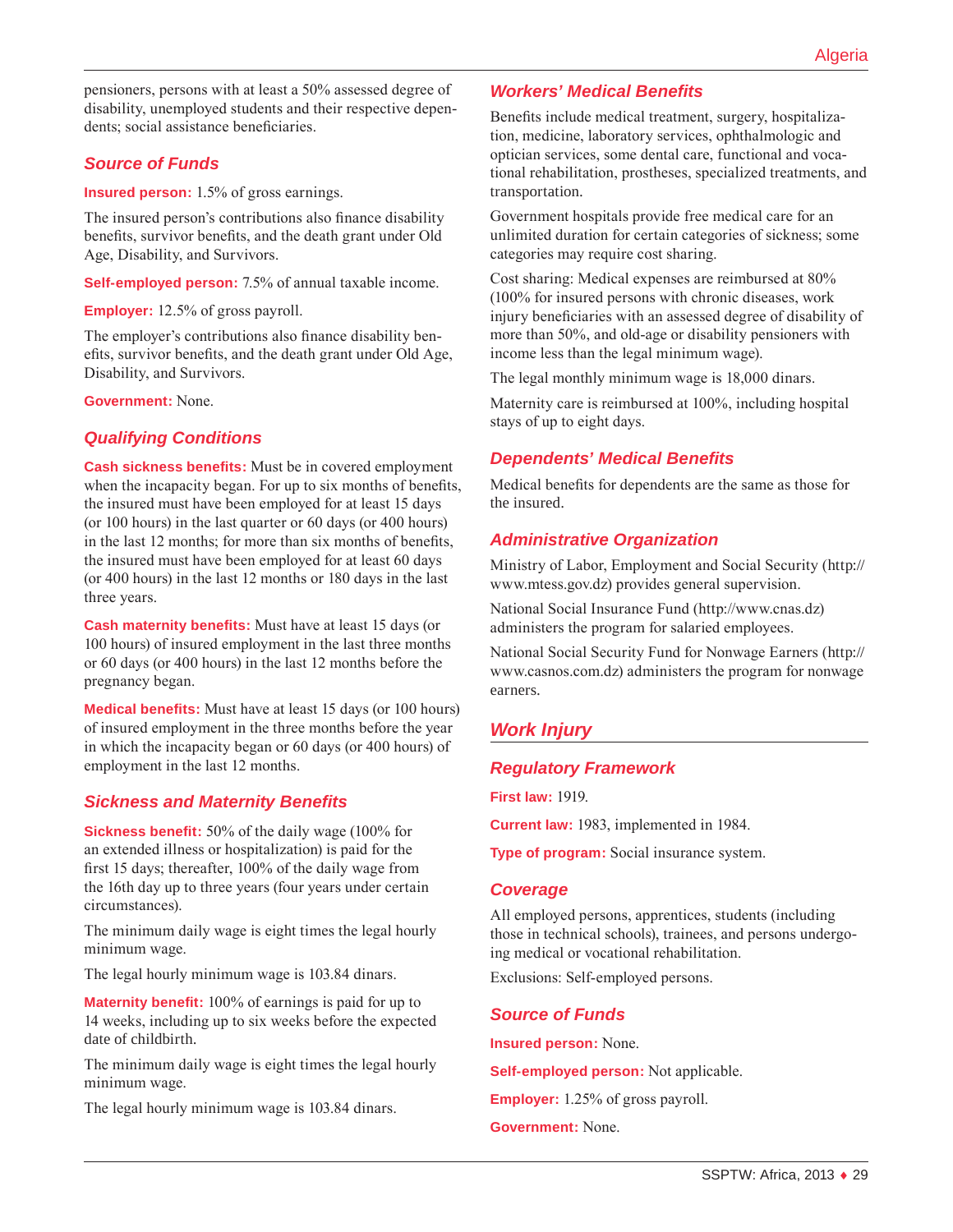pensioners, persons with at least a 50% assessed degree of disability, unemployed students and their respective dependents; social assistance beneficiaries.

### *Source of Funds*

**Insured person:** 1.5% of gross earnings.

The insured person's contributions also finance disability benefits, survivor benefits, and the death grant under Old Age, Disability, and Survivors.

**Self-employed person:** 7.5% of annual taxable income.

**Employer:** 12.5% of gross payroll.

The employer's contributions also finance disability benefits, survivor benefits, and the death grant under Old Age, Disability, and Survivors.

**Government:** None.

### *Qualifying Conditions*

**Cash sickness benefits:** Must be in covered employment when the incapacity began. For up to six months of benefits, the insured must have been employed for at least 15 days (or 100 hours) in the last quarter or 60 days (or 400 hours) in the last 12 months; for more than six months of benefits, the insured must have been employed for at least 60 days (or 400 hours) in the last 12 months or 180 days in the last three years.

**Cash maternity benefits:** Must have at least 15 days (or 100 hours) of insured employment in the last three months or 60 days (or 400 hours) in the last 12 months before the pregnancy began.

**Medical benefits:** Must have at least 15 days (or 100 hours) of insured employment in the three months before the year in which the incapacity began or 60 days (or 400 hours) of employment in the last 12 months.

### *Sickness and Maternity Benefits*

**Sickness benefit:** 50% of the daily wage (100% for an extended illness or hospitalization) is paid for the first 15 days; thereafter, 100% of the daily wage from the 16th day up to three years (four years under certain circumstances).

The minimum daily wage is eight times the legal hourly minimum wage.

The legal hourly minimum wage is 103.84 dinars.

**Maternity benefit:** 100% of earnings is paid for up to 14 weeks, including up to six weeks before the expected date of childbirth.

The minimum daily wage is eight times the legal hourly minimum wage.

The legal hourly minimum wage is 103.84 dinars.

### *Workers' Medical Benefits*

Benefits include medical treatment, surgery, hospitalization, medicine, laboratory services, ophthalmologic and optician services, some dental care, functional and vocational rehabilitation, prostheses, specialized treatments, and transportation.

Government hospitals provide free medical care for an unlimited duration for certain categories of sickness; some categories may require cost sharing.

Cost sharing: Medical expenses are reimbursed at 80% (100% for insured persons with chronic diseases, work injury beneficiaries with an assessed degree of disability of more than 50%, and old-age or disability pensioners with income less than the legal minimum wage).

The legal monthly minimum wage is 18,000 dinars.

Maternity care is reimbursed at 100%, including hospital stays of up to eight days.

### *Dependents' Medical Benefits*

Medical benefits for dependents are the same as those for the insured.

### *Administrative Organization*

Ministry of Labor, Employment and Social Security ([http://](http://www.mtess.gov.dz) [www.mtess.gov.dz](http://www.mtess.gov.dz)) provides general supervision.

National Social Insurance Fund (<http://www.cnas.dz>) administers the program for salaried employees.

National Social Security Fund for Nonwage Earners ([http://](http://www.casnos.com.dz) [www.casnos.com.dz](http://www.casnos.com.dz)) administers the program for nonwage earners.

# *Work Injury*

#### *Regulatory Framework*

**First law:** 1919.

**Current law:** 1983, implemented in 1984.

**Type of program:** Social insurance system.

#### *Coverage*

All employed persons, apprentices, students (including those in technical schools), trainees, and persons undergoing medical or vocational rehabilitation.

Exclusions: Self-employed persons.

#### *Source of Funds*

**Insured person:** None.

**Self-employed person:** Not applicable.

**Employer:** 1.25% of gross payroll.

**Government:** None.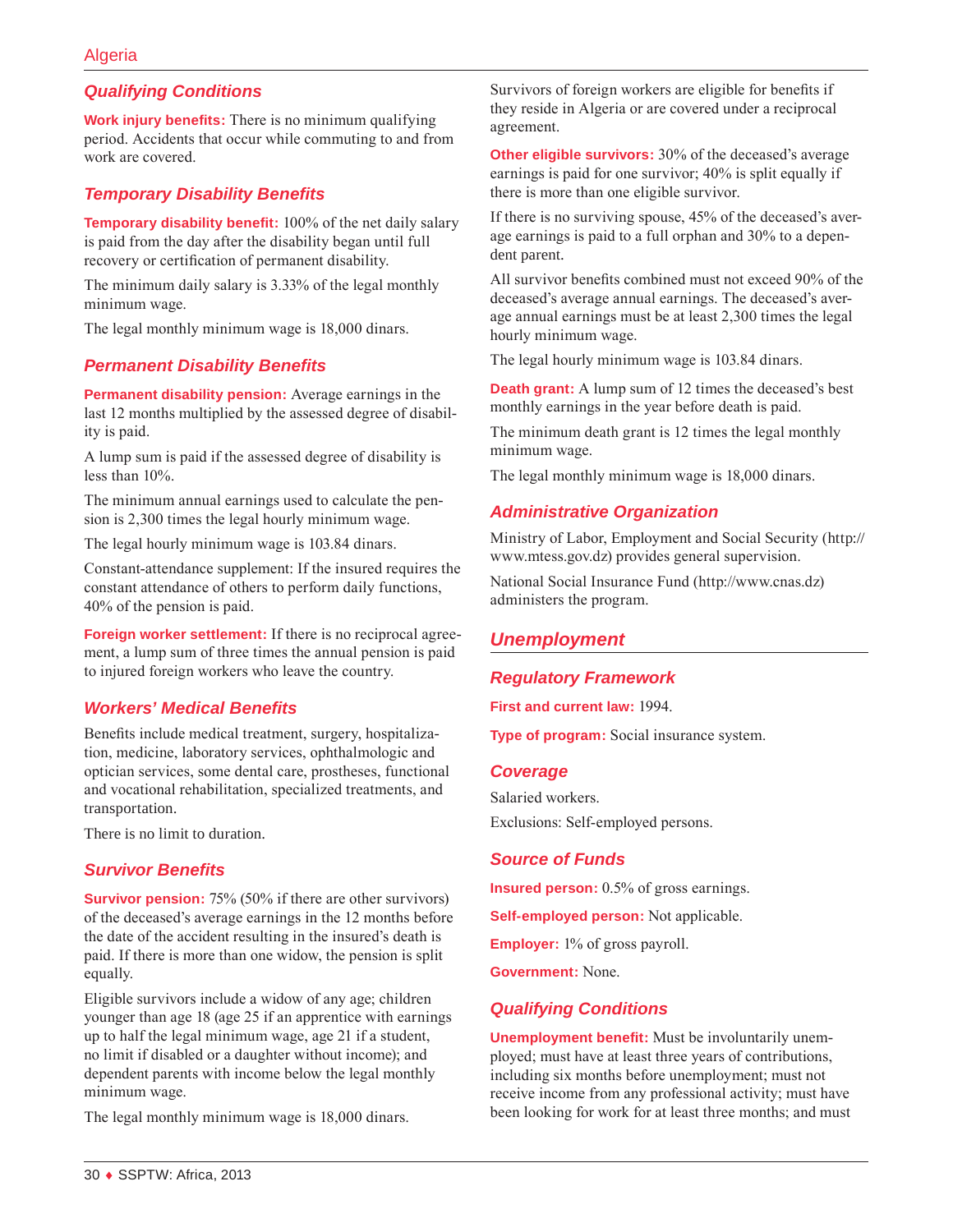### *Qualifying Conditions*

**Work injury benefits:** There is no minimum qualifying period. Accidents that occur while commuting to and from work are covered.

#### *Temporary Disability Benefits*

**Temporary disability benefit:** 100% of the net daily salary is paid from the day after the disability began until full recovery or certification of permanent disability.

The minimum daily salary is 3.33% of the legal monthly minimum wage.

The legal monthly minimum wage is 18,000 dinars.

#### *Permanent Disability Benefits*

**Permanent disability pension:** Average earnings in the last 12 months multiplied by the assessed degree of disability is paid.

A lump sum is paid if the assessed degree of disability is less than 10%.

The minimum annual earnings used to calculate the pension is 2,300 times the legal hourly minimum wage.

The legal hourly minimum wage is 103.84 dinars.

Constant-attendance supplement: If the insured requires the constant attendance of others to perform daily functions, 40% of the pension is paid.

**Foreign worker settlement:** If there is no reciprocal agreement, a lump sum of three times the annual pension is paid to injured foreign workers who leave the country.

#### *Workers' Medical Benefits*

Benefits include medical treatment, surgery, hospitalization, medicine, laboratory services, ophthalmologic and optician services, some dental care, prostheses, functional and vocational rehabilitation, specialized treatments, and transportation.

There is no limit to duration.

#### *Survivor Benefits*

**Survivor pension:** 75% (50% if there are other survivors) of the deceased's average earnings in the 12 months before the date of the accident resulting in the insured's death is paid. If there is more than one widow, the pension is split equally.

Eligible survivors include a widow of any age; children younger than age 18 (age 25 if an apprentice with earnings up to half the legal minimum wage, age 21 if a student, no limit if disabled or a daughter without income); and dependent parents with income below the legal monthly minimum wage.

The legal monthly minimum wage is 18,000 dinars.

Survivors of foreign workers are eligible for benefits if they reside in Algeria or are covered under a reciprocal agreement.

**Other eligible survivors:** 30% of the deceased's average earnings is paid for one survivor; 40% is split equally if there is more than one eligible survivor.

If there is no surviving spouse, 45% of the deceased's average earnings is paid to a full orphan and 30% to a dependent parent.

All survivor benefits combined must not exceed 90% of the deceased's average annual earnings. The deceased's average annual earnings must be at least 2,300 times the legal hourly minimum wage.

The legal hourly minimum wage is 103.84 dinars.

**Death grant:** A lump sum of 12 times the deceased's best monthly earnings in the year before death is paid.

The minimum death grant is 12 times the legal monthly minimum wage.

The legal monthly minimum wage is 18,000 dinars.

#### *Administrative Organization*

Ministry of Labor, Employment and Social Security ([http://](http://www.mtess.gov.dz) [www.mtess.gov.dz](http://www.mtess.gov.dz)) provides general supervision.

National Social Insurance Fund (<http://www.cnas.dz>) administers the program.

### *Unemployment*

#### *Regulatory Framework*

#### **First and current law:** 1994.

**Type of program:** Social insurance system.

#### *Coverage*

Salaried workers. Exclusions: Self-employed persons.

#### *Source of Funds*

**Insured person:** 0.5% of gross earnings.

**Self-employed person:** Not applicable.

**Employer:** 1% of gross payroll.

**Government:** None.

#### *Qualifying Conditions*

**Unemployment benefit:** Must be involuntarily unemployed; must have at least three years of contributions, including six months before unemployment; must not receive income from any professional activity; must have been looking for work for at least three months; and must